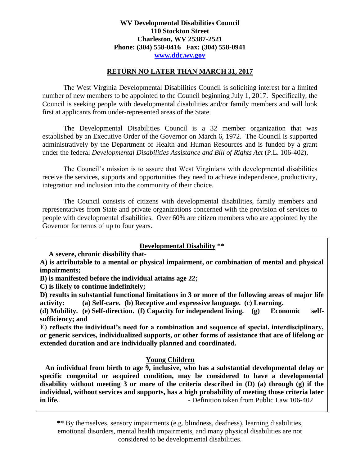## **WV Developmental Disabilities Council 110 Stockton Street Charleston, WV 25387-2521 Phone: (304) 558-0416 Fax: (304) 558-0941 www.ddc.wv.gov**

#### **RETURN NO LATER THAN MARCH 31, 2017**

The West Virginia Developmental Disabilities Council is soliciting interest for a limited number of new members to be appointed to the Council beginning July 1, 2017. Specifically, the Council is seeking people with developmental disabilities and/or family members and will look first at applicants from under-represented areas of the State.

The Developmental Disabilities Council is a 32 member organization that was established by an Executive Order of the Governor on March 6, 1972. The Council is supported administratively by the Department of Health and Human Resources and is funded by a grant under the federal *Developmental Disabilities Assistance and Bill of Rights Act* (P.L. 106-402).

The Council's mission is to assure that West Virginians with developmental disabilities receive the services, supports and opportunities they need to achieve independence, productivity, integration and inclusion into the community of their choice.

The Council consists of citizens with developmental disabilities, family members and representatives from State and private organizations concerned with the provision of services to people with developmental disabilities. Over 60% are citizen members who are appointed by the Governor for terms of up to four years.

## **Developmental Disability \*\***

 **A severe, chronic disability that-**

**A) is attributable to a mental or physical impairment, or combination of mental and physical impairments;**

**B) is manifested before the individual attains age 22;**

**C) is likely to continue indefinitely;**

**D) results in substantial functional limitations in 3 or more of the following areas of major life activity: (a) Self-care. (b) Receptive and expressive language. (c) Learning.**

**(d) Mobility. (e) Self-direction. (f) Capacity for independent living. (g) Economic selfsufficiency; and**

**E) reflects the individual's need for a combination and sequence of special, interdisciplinary, or generic services, individualized supports, or other forms of assistance that are of lifelong or extended duration and are individually planned and coordinated.**

## **Young Children**

 **An individual from birth to age 9, inclusive, who has a substantial developmental delay or specific congenital or acquired condition, may be considered to have a developmental disability without meeting 3 or more of the criteria described in (D) (a) through (g) if the individual, without services and supports, has a high probability of meeting those criteria later in life. in life. in the same of the same of the same of the same of the Section 106-402 c**  $\overline{a}$  **c**  $\overline{b}$  **c**  $\overline{b}$  **c**  $\overline{c}$  **c**  $\overline{b}$  **c**  $\overline{c}$  **c**  $\overline{c}$  **c**  $\overline{c}$  **c**  $\overline{c}$  **c**  $\overline{c$ 

**\*\*** By themselves, sensory impairments (e.g. blindness, deafness), learning disabilities, emotional disorders, mental health impairments, and many physical disabilities are not considered to be developmental disabilities.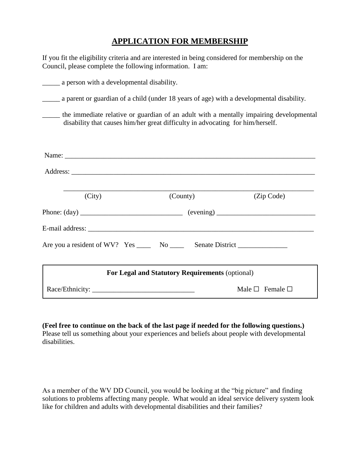# **APPLICATION FOR MEMBERSHIP**

If you fit the eligibility criteria and are interested in being considered for membership on the Council, please complete the following information. I am:

| a person with a developmental disability.                                                                                                                                |                           |  |  |
|--------------------------------------------------------------------------------------------------------------------------------------------------------------------------|---------------------------|--|--|
| a parent or guardian of a child (under 18 years of age) with a developmental disability.                                                                                 |                           |  |  |
| the immediate relative or guardian of an adult with a mentally impairing developmental<br>disability that causes him/her great difficulty in advocating for him/herself. |                           |  |  |
|                                                                                                                                                                          |                           |  |  |
|                                                                                                                                                                          |                           |  |  |
| (City)                                                                                                                                                                   | (County)<br>(Zip Code)    |  |  |
|                                                                                                                                                                          |                           |  |  |
|                                                                                                                                                                          |                           |  |  |
| Are you a resident of WV? Yes _____ No _____ Senate District ______________                                                                                              |                           |  |  |
| For Legal and Statutory Requirements (optional)                                                                                                                          |                           |  |  |
|                                                                                                                                                                          | Male $\Box$ Female $\Box$ |  |  |

**(Feel free to continue on the back of the last page if needed for the following questions.)** Please tell us something about your experiences and beliefs about people with developmental disabilities.

As a member of the WV DD Council, you would be looking at the "big picture" and finding solutions to problems affecting many people. What would an ideal service delivery system look like for children and adults with developmental disabilities and their families?